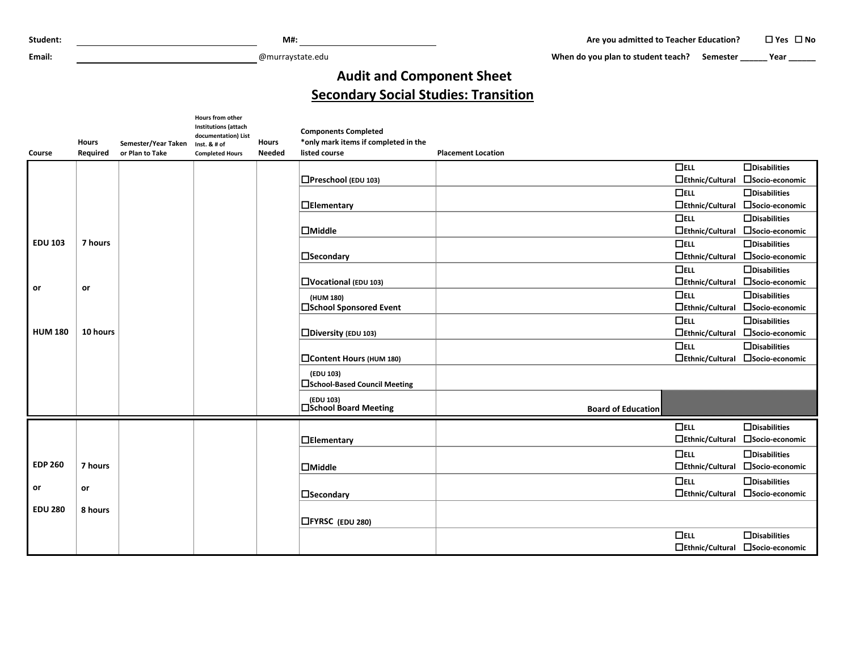**Email:** @murraystate.edu

When do you plan to student teach? Semester **\_\_\_\_\_** Year \_\_\_\_\_\_

## **Audit and Component Sheet Secondary Social Studies: Transition**

| <b>Course</b>  | <b>Hours</b><br><b>Required</b> | Semester/Year Taken<br>or Plan to Take | Hours from other<br><b>Institutions (attach</b><br>documentation) List<br>Inst. & # of<br><b>Completed Hours</b> | <b>Hours</b><br><b>Needed</b> | <b>Components Completed</b><br>*only mark items if completed in the<br>listed course | <b>Placement Location</b> |                                  |
|----------------|---------------------------------|----------------------------------------|------------------------------------------------------------------------------------------------------------------|-------------------------------|--------------------------------------------------------------------------------------|---------------------------|----------------------------------|
|                |                                 |                                        |                                                                                                                  |                               |                                                                                      | $\Box$ ELL                | $\Box$ Disabilities              |
|                |                                 |                                        |                                                                                                                  |                               | $\Box$ Preschool (EDU 103)                                                           | $\Box$ Ethnic/Cultural    | □Socio-economic                  |
|                |                                 |                                        |                                                                                                                  |                               |                                                                                      | $\Box$ ELL                | $\Box$ Disabilities              |
|                |                                 |                                        |                                                                                                                  |                               | $\Box$ Elementary                                                                    |                           | □Ethnic/Cultural □Socio-economic |
|                |                                 |                                        |                                                                                                                  |                               |                                                                                      | $\Box$ ELL                | $\Box$ Disabilities              |
|                |                                 |                                        |                                                                                                                  |                               | $\Box$ Middle                                                                        |                           | □Ethnic/Cultural □Socio-economic |
| <b>EDU 103</b> | 7 hours                         |                                        |                                                                                                                  |                               |                                                                                      | $\Box$ ELL                | $\Box$ Disabilities              |
|                |                                 |                                        |                                                                                                                  |                               | $\square$ Secondary                                                                  |                           | □Ethnic/Cultural □Socio-economic |
|                |                                 |                                        |                                                                                                                  |                               |                                                                                      | $\Box$ ELL                | $\Box$ Disabilities              |
|                |                                 |                                        |                                                                                                                  |                               | $\Box$ Vocational (EDU 103)                                                          |                           | □Ethnic/Cultural □Socio-economic |
| or             | or                              |                                        |                                                                                                                  |                               | (HUM 180)                                                                            | $\Box$ ELL                | $\Box$ Disabilities              |
|                |                                 |                                        |                                                                                                                  |                               | □School Sponsored Event                                                              | $\Box$ Ethnic/Cultural    | □Socio-economic                  |
|                |                                 |                                        |                                                                                                                  |                               |                                                                                      | $\Box$ ELL                | $\Box$ Disabilities              |
| <b>HUM 180</b> | 10 hours                        |                                        |                                                                                                                  |                               | Diversity (EDU 103)                                                                  | $\Box$ Ethnic/Cultural    | □Socio-economic                  |
|                |                                 |                                        |                                                                                                                  |                               |                                                                                      | $\Box$ ELL                | $\Box$ Disabilities              |
|                |                                 |                                        |                                                                                                                  |                               | Content Hours (HUM 180)                                                              |                           | □Ethnic/Cultural □Socio-economic |
|                |                                 |                                        |                                                                                                                  |                               | (EDU 103)<br>□ School-Based Council Meeting                                          |                           |                                  |
|                |                                 |                                        |                                                                                                                  |                               | (EDU 103)<br>□School Board Meeting                                                   | <b>Board of Education</b> |                                  |
|                |                                 |                                        |                                                                                                                  |                               |                                                                                      | $\Box$ ELL                | $\Box$ Disabilities              |
|                |                                 |                                        |                                                                                                                  |                               | $\Box$ Elementary                                                                    | □Ethnic/Cultural          | □Socio-economic                  |
|                |                                 |                                        |                                                                                                                  |                               |                                                                                      | $\Box$ ELL                | $\Box$ Disabilities              |
| <b>EDP 260</b> | 7 hours                         |                                        |                                                                                                                  |                               | $\Box$ Middle                                                                        | $\Box$ Ethnic/Cultural    | □Socio-economic                  |
|                |                                 |                                        |                                                                                                                  |                               |                                                                                      | $\Box$ ELL                | $\Box$ Disabilities              |
| or             | or                              |                                        |                                                                                                                  |                               | $\Box$ Secondary                                                                     |                           | □Ethnic/Cultural □Socio-economic |
| <b>EDU 280</b> | 8 hours                         |                                        |                                                                                                                  |                               |                                                                                      |                           |                                  |
|                |                                 |                                        |                                                                                                                  |                               | □FYRSC (EDU 280)                                                                     |                           |                                  |
|                |                                 |                                        |                                                                                                                  |                               |                                                                                      | $\Box$ ELL                | $\Box$ Disabilities              |
|                |                                 |                                        |                                                                                                                  |                               |                                                                                      |                           | □Ethnic/Cultural □Socio-economic |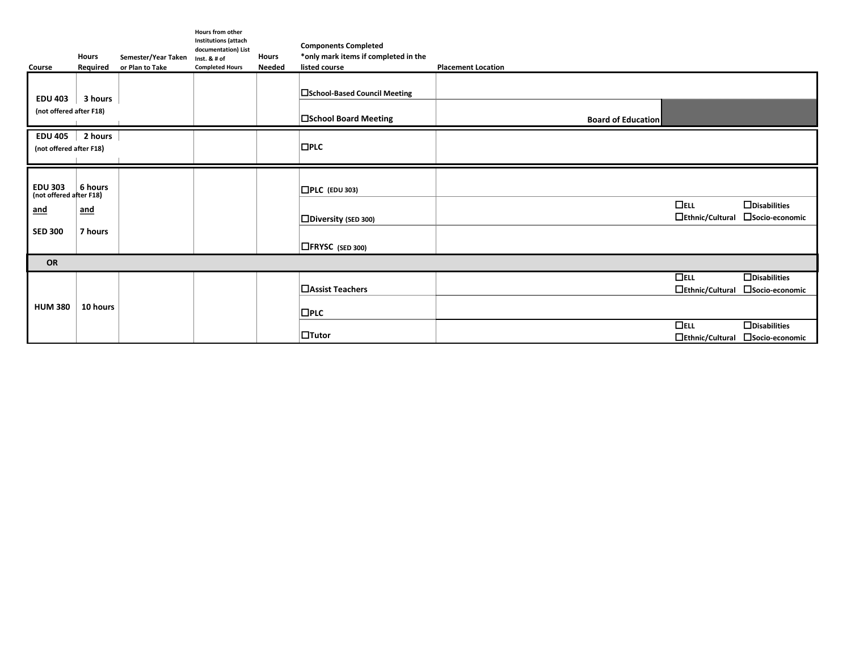| Course                                                                    | <b>Hours</b><br>Required         | Semester/Year Taken<br>or Plan to Take | Hours from other<br><b>Institutions (attach</b><br>documentation) List<br>Inst. & # of<br><b>Completed Hours</b> | <b>Hours</b><br><b>Needed</b> | <b>Components Completed</b><br>*only mark items if completed in the<br>listed course | <b>Placement Location</b> |                                      |                                        |  |
|---------------------------------------------------------------------------|----------------------------------|----------------------------------------|------------------------------------------------------------------------------------------------------------------|-------------------------------|--------------------------------------------------------------------------------------|---------------------------|--------------------------------------|----------------------------------------|--|
| <b>EDU 403</b><br>(not offered after F18)                                 | 3 hours                          |                                        |                                                                                                                  |                               | <b>□School-Based Council Meeting</b><br><b>□School Board Meeting</b>                 | <b>Board of Education</b> |                                      |                                        |  |
| EDU 405 $\vert$<br>(not offered after F18)                                | 2 hours                          |                                        |                                                                                                                  |                               | $\Box$ PLC                                                                           |                           |                                      |                                        |  |
| <b>EDU 303</b><br>(not offered after F18)<br><u>and</u><br><b>SED 300</b> | 6 hours<br><u>and</u><br>7 hours |                                        |                                                                                                                  |                               | $\Box$ PLC (EDU 303)<br>$\Box$ Diversity (SED 300)<br>$\Box$ FRYSC (SED 300)         |                           | $\Box$ ELL<br>$\Box$ Ethnic/Cultural | $\Box$ Disabilities<br>□Socio-economic |  |
| OR                                                                        |                                  |                                        |                                                                                                                  |                               |                                                                                      |                           |                                      |                                        |  |
| <b>HUM 380</b>                                                            | 10 hours                         |                                        |                                                                                                                  |                               | □ Assist Teachers<br>$\Box$ PLC                                                      |                           | $\Box$ ELL<br>$\Box$ Ethnic/Cultural | $\Box$ Disabilities<br>□Socio-economic |  |
|                                                                           |                                  |                                        |                                                                                                                  |                               | $\Box$ Tutor                                                                         |                           | $\Box$ ELL<br>$\Box$ Ethnic/Cultural | $\Box$ Disabilities<br>□Socio-economic |  |